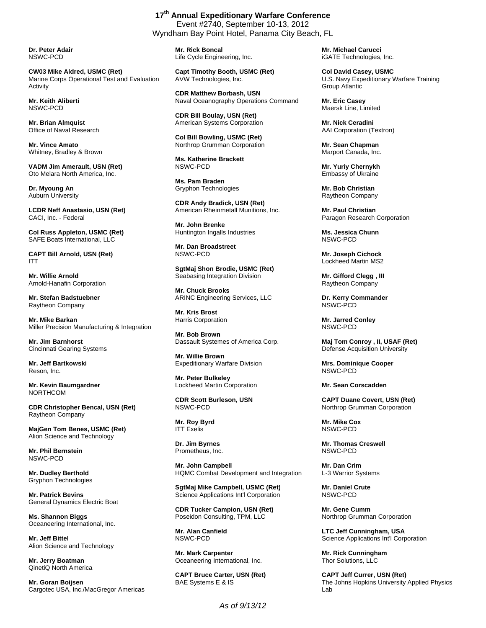**Dr. Peter Adair**  NSWC-PCD

**CW03 Mike Aldred, USMC (Ret)**  Marine Corps Operational Test and Evaluation Activity

**Mr. Keith Aliberti**  NSWC-PCD

**Mr. Brian Almquist**  Office of Naval Research

**Mr. Vince Amato**  Whitney, Bradley & Brown

**VADM Jim Amerault, USN (Ret)**  Oto Melara North America, Inc.

**Dr. Myoung An**  Auburn University

**LCDR Neff Anastasio, USN (Ret)**  CACI, Inc. - Federal

**Col Russ Appleton, USMC (Ret)**  SAFE Boats International, LLC

**CAPT Bill Arnold, USN (Ret)**  ITT

**Mr. Willie Arnold**  Arnold-Hanafin Corporation

**Mr. Stefan Badstuebner**  Raytheon Company

**Mr. Mike Barkan**  Miller Precision Manufacturing & Integration

**Mr. Jim Barnhorst**  Cincinnati Gearing Systems

**Mr. Jeff Bartkowski**  Reson, Inc.

**Mr. Kevin Baumgardner**  NORTHCOM

**CDR Christopher Bencal, USN (Ret)**  Raytheon Company

**MajGen Tom Benes, USMC (Ret)**  Alion Science and Technology

**Mr. Phil Bernstein**  NSWC-PCD

**Mr. Dudley Berthold**  Gryphon Technologies

**Mr. Patrick Bevins**  General Dynamics Electric Boat

**Ms. Shannon Biggs**  Oceaneering International, Inc.

**Mr. Jeff Bittel**  Alion Science and Technology

**Mr. Jerry Boatman**  QinetiQ North America

**Mr. Goran Boijsen**  Cargotec USA, Inc./MacGregor Americas

**17th Annual Expeditionary Warfare Conference**  Event #2740, September 10-13, 2012 Wyndham Bay Point Hotel, Panama City Beach, FL

> **Mr. Rick Boncal**  Life Cycle Engineering, Inc.

**Capt Timothy Booth, USMC (Ret)**  AVW Technologies, Inc.

**CDR Matthew Borbash, USN**  Naval Oceanography Operations Command

**CDR Bill Boulay, USN (Ret)**  American Systems Corporation

**Col Bill Bowling, USMC (Ret)**  Northrop Grumman Corporation

**Ms. Katherine Brackett**  NSWC-PCD

**Ms. Pam Braden**  Gryphon Technologies

**CDR Andy Bradick, USN (Ret)**  American Rheinmetall Munitions, Inc.

**Mr. John Brenke**  Huntington Ingalls Industries

**Mr. Dan Broadstreet**  NSWC-PCD

**SgtMaj Shon Brodie, USMC (Ret)**  Seabasing Integration Division

**Mr. Chuck Brooks**  ARINC Engineering Services, LLC

**Mr. Kris Brost**  Harris Corporation

**Mr. Bob Brown**  Dassault Systemes of America Corp.

**Mr. Willie Brown**  Expeditionary Warfare Division

**Mr. Peter Bulkeley**  Lockheed Martin Corporation

**CDR Scott Burleson, USN**  NSWC-PCD

**Mr. Roy Byrd**  ITT Exelis

**Dr. Jim Byrnes**  Prometheus, Inc.

**Mr. John Campbell**  HQMC Combat Development and Integration

**SgtMaj Mike Campbell, USMC (Ret)**  Science Applications Int'l Corporation

**CDR Tucker Campion, USN (Ret)**  Poseidon Consulting, TPM, LLC

**Mr. Alan Canfield**  NSWC-PCD

**Mr. Mark Carpenter**  Oceaneering International, Inc.

**CAPT Bruce Carter, USN (Ret)**  BAE Systems E & IS

**Mr. Michael Carucci**  iGATE Technologies, Inc.

**Col David Casey, USMC**  U.S. Navy Expeditionary Warfare Training Group Atlantic

**Mr. Eric Casey**  Maersk Line, Limited

**Mr. Nick Ceradini**  AAI Corporation (Textron)

**Mr. Sean Chapman**  Marport Canada, Inc.

**Mr. Yuriy Chernykh**  Embassy of Ukraine

**Mr. Bob Christian**  Raytheon Company

**Mr. Paul Christian**  Paragon Research Corporation

**Ms. Jessica Chunn**  NSWC-PCD

**Mr. Joseph Cichock**  Lockheed Martin MS2

**Mr. Gifford Clegg , III**  Raytheon Company

**Dr. Kerry Commander**  NSWC-PCD

**Mr. Jarred Conley**  NSWC-PCD

**Maj Tom Conroy , II, USAF (Ret)**  Defense Acquisition University

**Mrs. Dominique Cooper**  NSWC-PCD

**Mr. Sean Corscadden** 

**CAPT Duane Covert, USN (Ret)**  Northrop Grumman Corporation

**Mr. Mike Cox**  NSWC-PCD

**Mr. Thomas Creswell**  NSWC-PCD

**Mr. Dan Crim**  L-3 Warrior Systems

**Mr. Daniel Crute**  NSWC-PCD

**Mr. Gene Cumm**  Northrop Grumman Corporation

**LTC Jeff Cunningham, USA**  Science Applications Int'l Corporation

**Mr. Rick Cunningham**  Thor Solutions, LLC

**CAPT Jeff Currer, USN (Ret)**  The Johns Hopkins University Applied Physics Lab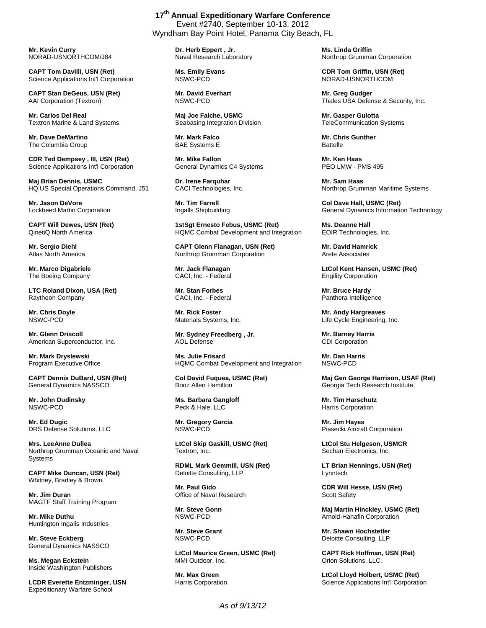**Mr. Kevin Curry**  NORAD-USNORTHCOM/J84

**CAPT Tom Davilli, USN (Ret)**  Science Applications Int'l Corporation

**CAPT Stan DeGeus, USN (Ret)**  AAI Corporation (Textron)

**Mr. Carlos Del Real**  Textron Marine & Land Systems

**Mr. Dave DeMartino**  The Columbia Group

**CDR Ted Dempsey , III, USN (Ret)**  Science Applications Int'l Corporation

**Maj Brian Dennis, USMC**  HQ US Special Operations Command, J51

**Mr. Jason DeVore**  Lockheed Martin Corporation

**CAPT Will Dewes, USN (Ret)**  QinetiQ North America

**Mr. Sergio Diehl**  Atlas North America

**Mr. Marco Digabriele**  The Boeing Company

**LTC Roland Dixon, USA (Ret)**  Raytheon Company

**Mr. Chris Doyle**  NSWC-PCD

**Mr. Glenn Driscoll**  American Superconductor, Inc.

**Mr. Mark Dryslewski**  Program Executive Office

**CAPT Dennis DuBard, USN (Ret)**  General Dynamics NASSCO

**Mr. John Dudinsky**  NSWC-PCD

**Mr. Ed Dugic**  DRS Defense Solutions, LLC

**Mrs. LeeAnne Dullea**  Northrop Grumman Oceanic and Naval **Systems** 

**CAPT Mike Duncan, USN (Ret)**  Whitney, Bradley & Brown

**Mr. Jim Duran**  MAGTF Staff Training Program

**Mr. Mike Duthu**  Huntington Ingalls Industries

**Mr. Steve Eckberg**  General Dynamics NASSCO

**Ms. Megan Eckstein**  Inside Washington Publishers

**LCDR Everette Entzminger, USN**  Expeditionary Warfare School

**17th Annual Expeditionary Warfare Conference**  Event #2740, September 10-13, 2012 Wyndham Bay Point Hotel, Panama City Beach, FL

> **Dr. Herb Eppert , Jr.**  Naval Research Laboratory

**Ms. Emily Evans**  NSWC-PCD

**Mr. David Everhart**  NSWC-PCD

**Maj Joe Falche, USMC**  Seabasing Integration Division

**Mr. Mark Falco**  BAE Systems E

**Mr. Mike Fallon**  General Dynamics C4 Systems

**Dr. Irene Farquhar**  CACI Technologies, Inc.

**Mr. Tim Farrell**  Ingalls Shipbuilding

**1stSgt Ernesto Febus, USMC (Ret)**  HQMC Combat Development and Integration

**CAPT Glenn Flanagan, USN (Ret)**  Northrop Grumman Corporation

**Mr. Jack Flanagan**  CACI, Inc. - Federal

**Mr. Stan Forbes**  CACI, Inc. - Federal

**Mr. Rick Foster**  Materials Systems, Inc.

**Mr. Sydney Freedberg , Jr.**  AOL Defense

**Ms. Julie Frisard**  HQMC Combat Development and Integration

**Col David Fuquea, USMC (Ret)**  Booz Allen Hamilton

**Ms. Barbara Gangloff**  Peck & Hale, LLC

**Mr. Gregory Garcia**  NSWC-PCD

**LtCol Skip Gaskill, USMC (Ret)**  Textron, Inc.

**RDML Mark Gemmill, USN (Ret)**  Deloitte Consulting, LLP

**Mr. Paul Gido**  Office of Naval Research

**Mr. Steve Gonn**  NSWC-PCD

**Mr. Steve Grant**  NSWC-PCD

**LtCol Maurice Green, USMC (Ret)**  MMI Outdoor, Inc.

**Mr. Max Green**  Harris Corporation **Ms. Linda Griffin**  Northrop Grumman Corporation

**CDR Tom Griffin, USN (Ret)**  NORAD-USNORTHCOM

**Mr. Greg Gudger**  Thales USA Defense & Security, Inc.

**Mr. Gasper Gulotta**  TeleCommunication Systems

**Mr. Chris Gunther Battelle** 

**Mr. Ken Haas**  PEO LMW - PMS 495

**Mr. Sam Haas**  Northrop Grumman Maritime Systems

**Col Dave Hall, USMC (Ret)**  General Dynamics Information Technology

**Ms. Deanne Hall**  EOIR Technologies, Inc.

**Mr. David Hamrick**  Arete Associates

**LtCol Kent Hansen, USMC (Ret)**  Engility Corporation

**Mr. Bruce Hardy**  Panthera Intelligence

**Mr. Andy Hargreaves**  Life Cycle Engineering, Inc.

**Mr. Barney Harris**  CDI Corporation

**Mr. Dan Harris**  NSWC-PCD

**Maj Gen George Harrison, USAF (Ret)**  Georgia Tech Research Institute

**Mr. Tim Harschutz**  Harris Corporation

**Mr. Jim Hayes**  Piasecki Aircraft Corporation

**LtCol Stu Helgeson, USMCR**  Sechan Electronics, Inc.

**LT Brian Hennings, USN (Ret)**  Lynntech

**CDR Will Hesse, USN (Ret)**  Scott Safety

**Maj Martin Hinckley, USMC (Ret)**  Arnold-Hanafin Corporation

**Mr. Shawn Hochstetler**  Deloitte Consulting, LLP

**CAPT Rick Hoffman, USN (Ret)**  Orion Solutions, LLC.

**LtCol Lloyd Holbert, USMC (Ret)**  Science Applications Int'l Corporation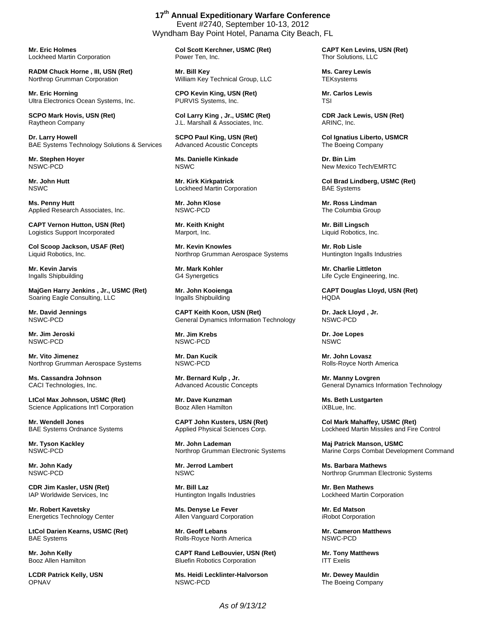**Mr. Eric Holmes**  Lockheed Martin Corporation

**RADM Chuck Horne , III, USN (Ret)**  Northrop Grumman Corporation

**Mr. Eric Horning**  Ultra Electronics Ocean Systems, Inc.

**SCPO Mark Hovis, USN (Ret)**  Raytheon Company

**Dr. Larry Howell**  BAE Systems Technology Solutions & Services

**Mr. Stephen Hoyer**  NSWC-PCD

**Mr. John Hutt**  NSWC

**Ms. Penny Hutt**  Applied Research Associates, Inc.

**CAPT Vernon Hutton, USN (Ret)**  Logistics Support Incorporated

**Col Scoop Jackson, USAF (Ret)**  Liquid Robotics, Inc.

**Mr. Kevin Jarvis**  Ingalls Shipbuilding

**MajGen Harry Jenkins , Jr., USMC (Ret)**  Soaring Eagle Consulting, LLC

**Mr. David Jennings**  NSWC-PCD

**Mr. Jim Jeroski**  NSWC-PCD

**Mr. Vito Jimenez**  Northrop Grumman Aerospace Systems

**Ms. Cassandra Johnson**  CACI Technologies, Inc.

**LtCol Max Johnson, USMC (Ret)**  Science Applications Int'l Corporation

**Mr. Wendell Jones**  BAE Systems Ordnance Systems

**Mr. Tyson Kackley**  NSWC-PCD

**Mr. John Kady**  NSWC-PCD

**CDR Jim Kasler, USN (Ret)**  IAP Worldwide Services, Inc

**Mr. Robert Kavetsky**  Energetics Technology Center

**LtCol Darien Kearns, USMC (Ret)**  BAE Systems

**Mr. John Kelly**  Booz Allen Hamilton

**LCDR Patrick Kelly, USN**  OPNAV

Event #2740, September 10-13, 2012 Wyndham Bay Point Hotel, Panama City Beach, FL

**17th Annual Expeditionary Warfare Conference** 

**Col Scott Kerchner, USMC (Ret)**  Power Ten, Inc.

**Mr. Bill Key**  William Key Technical Group, LLC

**CPO Kevin King, USN (Ret)**  PURVIS Systems, Inc.

**Col Larry King , Jr., USMC (Ret)**  J.L. Marshall & Associates, Inc.

**SCPO Paul King, USN (Ret)**  Advanced Acoustic Concepts

**Ms. Danielle Kinkade**  NSWC

**Mr. Kirk Kirkpatrick**  Lockheed Martin Corporation

**Mr. John Klose**  NSWC-PCD

**Mr. Keith Knight**  Marport, Inc.

**Mr. Kevin Knowles**  Northrop Grumman Aerospace Systems

**Mr. Mark Kohler**  G4 Synergetics

**Mr. John Kooienga**  Ingalls Shipbuilding

**CAPT Keith Koon, USN (Ret)**  General Dynamics Information Technology

**Mr. Jim Krebs**  NSWC-PCD

**Mr. Dan Kucik**  NSWC-PCD

**Mr. Bernard Kulp , Jr.**  Advanced Acoustic Concepts

**Mr. Dave Kunzman**  Booz Allen Hamilton

**CAPT John Kusters, USN (Ret)**  Applied Physical Sciences Corp.

**Mr. John Lademan**  Northrop Grumman Electronic Systems

**Mr. Jerrod Lambert**  NSWC

**Mr. Bill Laz**  Huntington Ingalls Industries

**Ms. Denyse Le Fever**  Allen Vanguard Corporation

**Mr. Geoff Lebans**  Rolls-Royce North America

**CAPT Rand LeBouvier, USN (Ret)**  Bluefin Robotics Corporation

**Ms. Heidi Lecklinter-Halvorson**  NSWC-PCD

**CAPT Ken Levins, USN (Ret)**  Thor Solutions, LLC

**Ms. Carey Lewis TEKsystems** 

**Mr. Carlos Lewis**  TSI

**CDR Jack Lewis, USN (Ret)**  ARINC, Inc.

**Col Ignatius Liberto, USMCR**  The Boeing Company

**Dr. Bin Lim**  New Mexico Tech/EMRTC

**Col Brad Lindberg, USMC (Ret)**  BAE Systems

**Mr. Ross Lindman**  The Columbia Group

**Mr. Bill Lingsch**  Liquid Robotics, Inc.

**Mr. Rob Lisle**  Huntington Ingalls Industries

**Mr. Charlie Littleton**  Life Cycle Engineering, Inc.

**CAPT Douglas Lloyd, USN (Ret)**  HQDA

**Dr. Jack Lloyd , Jr.**  NSWC-PCD

**Dr. Joe Lopes**  NSWC

**Mr. John Lovasz**  Rolls-Royce North America

**Mr. Manny Lovgren**  General Dynamics Information Technology

**Ms. Beth Lustgarten**  iXBLue, Inc.

**Col Mark Mahaffey, USMC (Ret)**  Lockheed Martin Missiles and Fire Control

**Maj Patrick Manson, USMC**  Marine Corps Combat Development Command

**Ms. Barbara Mathews**  Northrop Grumman Electronic Systems

**Mr. Ben Mathews**  Lockheed Martin Corporation

**Mr. Ed Matson**  iRobot Corporation

**Mr. Cameron Matthews**  NSWC-PCD

**Mr. Tony Matthews**  ITT Exelis

**Mr. Dewey Mauldin**  The Boeing Company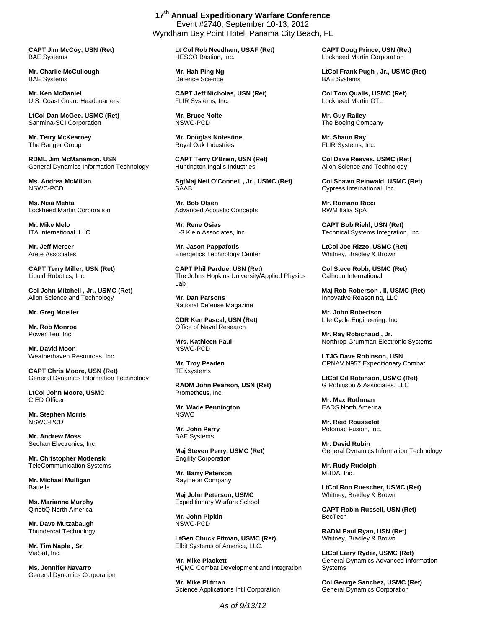**CAPT Jim McCoy, USN (Ret)**  BAE Systems

**Mr. Charlie McCullough**  BAE Systems

**Mr. Ken McDaniel**  U.S. Coast Guard Headquarters

**LtCol Dan McGee, USMC (Ret)**  Sanmina-SCI Corporation

**Mr. Terry McKearney**  The Ranger Group

**RDML Jim McManamon, USN**  General Dynamics Information Technology

**Ms. Andrea McMillan**  NSWC-PCD

**Ms. Nisa Mehta**  Lockheed Martin Corporation

**Mr. Mike Melo**  ITA International, LLC

**Mr. Jeff Mercer**  Arete Associates

**CAPT Terry Miller, USN (Ret)**  Liquid Robotics, Inc.

**Col John Mitchell , Jr., USMC (Ret)**  Alion Science and Technology

**Mr. Greg Moeller** 

**Mr. Rob Monroe**  Power Ten, Inc.

**Mr. David Moon**  Weatherhaven Resources, Inc.

**CAPT Chris Moore, USN (Ret)**  General Dynamics Information Technology

**LtCol John Moore, USMC**  CIED Officer

**Mr. Stephen Morris**  NSWC-PCD

**Mr. Andrew Moss**  Sechan Electronics, Inc.

**Mr. Christopher Motlenski**  TeleCommunication Systems

**Mr. Michael Mulligan**  Battelle

**Ms. Marianne Murphy**  QinetiQ North America

**Mr. Dave Mutzabaugh**  Thundercat Technology

**Mr. Tim Naple , Sr.**  ViaSat, Inc.

**Ms. Jennifer Navarro**  General Dynamics Corporation

**17th Annual Expeditionary Warfare Conference**  Event #2740, September 10-13, 2012 Wyndham Bay Point Hotel, Panama City Beach, FL

> **Lt Col Rob Needham, USAF (Ret)**  HESCO Bastion, Inc.

**Mr. Hah Ping Ng**  Defence Science

**CAPT Jeff Nicholas, USN (Ret)**  FLIR Systems, Inc.

**Mr. Bruce Nolte**  NSWC-PCD

**Mr. Douglas Notestine**  Royal Oak Industries

**CAPT Terry O'Brien, USN (Ret)**  Huntington Ingalls Industries

**SgtMaj Neil O'Connell , Jr., USMC (Ret) SAAB** 

**Mr. Bob Olsen**  Advanced Acoustic Concepts

**Mr. Rene Osias**  L-3 Klein Associates, Inc.

**Mr. Jason Pappafotis**  Energetics Technology Center

**CAPT Phil Pardue, USN (Ret)**  The Johns Hopkins University/Applied Physics Lab

**Mr. Dan Parsons**  National Defense Magazine

**CDR Ken Pascal, USN (Ret)**  Office of Naval Research

**Mrs. Kathleen Paul**  NSWC-PCD

**Mr. Troy Peaden TEKsystems** 

**RADM John Pearson, USN (Ret)**  Prometheus, Inc.

**Mr. Wade Pennington**  NSWC

**Mr. John Perry**  BAE Systems

**Maj Steven Perry, USMC (Ret)**  Engility Corporation

**Mr. Barry Peterson**  Raytheon Company

**Maj John Peterson, USMC**  Expeditionary Warfare School

**Mr. John Pipkin**  NSWC-PCD

**LtGen Chuck Pitman, USMC (Ret)**  Elbit Systems of America, LLC.

**Mr. Mike Plackett**  HQMC Combat Development and Integration

**Mr. Mike Plitman**  Science Applications Int'l Corporation

*As of 9/13/12* 

**CAPT Doug Prince, USN (Ret)**  Lockheed Martin Corporation

**LtCol Frank Pugh , Jr., USMC (Ret)**  BAE Systems

**Col Tom Qualls, USMC (Ret)**  Lockheed Martin GTL

**Mr. Guy Railey**  The Boeing Company

**Mr. Shaun Ray**  FLIR Systems, Inc.

**Col Dave Reeves, USMC (Ret)**  Alion Science and Technology

**Col Shawn Reinwald, USMC (Ret)**  Cypress International, Inc.

**Mr. Romano Ricci**  RWM Italia SpA

**CAPT Bob Riehl, USN (Ret)**  Technical Systems Integration, Inc.

**LtCol Joe Rizzo, USMC (Ret)**  Whitney, Bradley & Brown

**Col Steve Robb, USMC (Ret)**  Calhoun International

**Maj Rob Roberson , II, USMC (Ret)**  Innovative Reasoning, LLC

**Mr. John Robertson**  Life Cycle Engineering, Inc.

**Mr. Ray Robichaud , Jr.**  Northrop Grumman Electronic Systems

**LTJG Dave Robinson, USN**  OPNAV N957 Expeditionary Combat

**LtCol Gil Robinson, USMC (Ret)**  G Robinson & Associates, LLC

**Mr. Max Rothman**  EADS North America

**Mr. Reid Rousselot**  Potomac Fusion, Inc.

**Mr. David Rubin**  General Dynamics Information Technology

**Mr. Rudy Rudolph**  MBDA, Inc.

**LtCol Ron Ruescher, USMC (Ret)**  Whitney, Bradley & Brown

**CAPT Robin Russell, USN (Ret)**  BecTech

**RADM Paul Ryan, USN (Ret)**  Whitney, Bradley & Brown

**LtCol Larry Ryder, USMC (Ret)**  General Dynamics Advanced Information **Systems** 

**Col George Sanchez, USMC (Ret)**  General Dynamics Corporation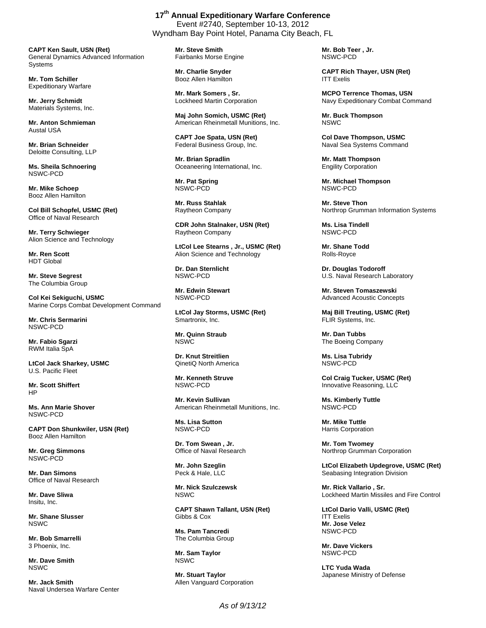**CAPT Ken Sault, USN (Ret)**  General Dynamics Advanced Information Systems

**Mr. Tom Schiller**  Expeditionary Warfare

**Mr. Jerry Schmidt**  Materials Systems, Inc.

**Mr. Anton Schmieman**  Austal USA

**Mr. Brian Schneider**  Deloitte Consulting, LLP

**Ms. Sheila Schnoering**  NSWC-PCD

**Mr. Mike Schoep**  Booz Allen Hamilton

**Col Bill Schopfel, USMC (Ret)**  Office of Naval Research

**Mr. Terry Schwieger**  Alion Science and Technology

**Mr. Ren Scott**  HDT Global

**Mr. Steve Segrest**  The Columbia Group

**Col Kei Sekiguchi, USMC**  Marine Corps Combat Development Command

**Mr. Chris Sermarini**  NSWC-PCD

**Mr. Fabio Sgarzi**  RWM Italia SpA

**LtCol Jack Sharkey, USMC**  U.S. Pacific Fleet

**Mr. Scott Shiffert**  HP

**Ms. Ann Marie Shover**  NSWC-PCD

**CAPT Don Shunkwiler, USN (Ret)**  Booz Allen Hamilton

**Mr. Greg Simmons**  NSWC-PCD

**Mr. Dan Simons**  Office of Naval Research

**Mr. Dave Sliwa**  Insitu, Inc.

**Mr. Shane Slusser**  NSWC

**Mr. Bob Smarrelli**  3 Phoenix, Inc.

**Mr. Dave Smith NSWC** 

**Mr. Jack Smith**  Naval Undersea Warfare Center

**17th Annual Expeditionary Warfare Conference**  Event #2740, September 10-13, 2012 Wyndham Bay Point Hotel, Panama City Beach, FL

> **Mr. Steve Smith**  Fairbanks Morse Engine

**Mr. Charlie Snyder**  Booz Allen Hamilton

**Mr. Mark Somers , Sr.**  Lockheed Martin Corporation

**Maj John Somich, USMC (Ret)**  American Rheinmetall Munitions, Inc.

**CAPT Joe Spata, USN (Ret)**  Federal Business Group, Inc.

**Mr. Brian Spradlin**  Oceaneering International, Inc.

**Mr. Pat Spring**  NSWC-PCD

**Mr. Russ Stahlak**  Raytheon Company

**CDR John Stalnaker, USN (Ret)**  Raytheon Company

**LtCol Lee Stearns , Jr., USMC (Ret)**  Alion Science and Technology

**Dr. Dan Sternlicht**  NSWC-PCD

**Mr. Edwin Stewart**  NSWC-PCD

**LtCol Jay Storms, USMC (Ret)**  Smartronix, Inc.

**Mr. Quinn Straub**  NSWC

**Dr. Knut Streitlien**  QinetiQ North America

**Mr. Kenneth Struve**  NSWC-PCD

**Mr. Kevin Sullivan**  American Rheinmetall Munitions, Inc.

**Ms. Lisa Sutton**  NSWC-PCD

**Dr. Tom Swean , Jr.**  Office of Naval Research

**Mr. John Szeglin**  Peck & Hale, LLC

**Mr. Nick Szulczewsk NSWC** 

**CAPT Shawn Tallant, USN (Ret)**  Gibbs & Cox

**Ms. Pam Tancredi**  The Columbia Group

**Mr. Sam Taylor**  NSWC

**Mr. Stuart Taylor**  Allen Vanguard Corporation **Mr. Bob Teer , Jr.**  NSWC-PCD

**CAPT Rich Thayer, USN (Ret)**  ITT Exelis

**MCPO Terrence Thomas, USN**  Navy Expeditionary Combat Command

**Mr. Buck Thompson**  NSWC

**Col Dave Thompson, USMC**  Naval Sea Systems Command

**Mr. Matt Thompson**  Engility Corporation

**Mr. Michael Thompson**  NSWC-PCD

**Mr. Steve Thon**  Northrop Grumman Information Systems

**Ms. Lisa Tindell**  NSWC-PCD

**Mr. Shane Todd**  Rolls-Royce

**Dr. Douglas Todoroff**  U.S. Naval Research Laboratory

**Mr. Steven Tomaszewski**  Advanced Acoustic Concepts

**Maj Bill Treuting, USMC (Ret)**  FLIR Systems, Inc.

**Mr. Dan Tubbs**  The Boeing Company

**Ms. Lisa Tubridy**  NSWC-PCD

**Col Craig Tucker, USMC (Ret)**  Innovative Reasoning, LLC

**Ms. Kimberly Tuttle**  NSWC-PCD

**Mr. Mike Tuttle**  Harris Corporation

**Mr. Tom Twomey**  Northrop Grumman Corporation

**LtCol Elizabeth Updegrove, USMC (Ret)**  Seabasing Integration Division

**Mr. Rick Vallario , Sr.**  Lockheed Martin Missiles and Fire Control

**LtCol Dario Valli, USMC (Ret)**  ITT Exelis **Mr. Jose Velez**  NSWC-PCD

**Mr. Dave Vickers**  NSWC-PCD

**LTC Yuda Wada**  Japanese Ministry of Defense